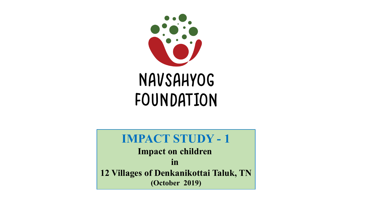

# **IMPACT STUDY - 1**

**Impact on children in 12 Villages of Denkanikottai Taluk, TN (October 2019)**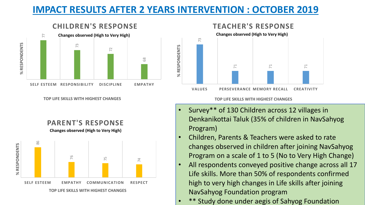## **IMPACT RESULTS AFTER 2 YEARS INTERVENTION : OCTOBER 2019**

% RESPONDENTS



**CHILDREN'S RESPONSE**

**TOP LIFE SKILLS WITH HIGHEST CHANGES**

**PARENT'S RESPONSE Changes observed (High to Very High)**



### **TEACHER'S RESPONSE**



#### **TOP LIFE SKILLS WITH HIGHEST CHANGES**

- Survey\*\* of 130 Children across 12 villages in Denkanikottai Taluk (35% of children in NavSahyog Program)
- Children, Parents & Teachers were asked to rate changes observed in children after joining NavSahyog Program on a scale of 1 to 5 (No to Very High Change)
- All respondents conveyed positive change across all 17 Life skills. More than 50% of respondents confirmed high to very high changes in Life skills after joining NavSahyog Foundation program
- \*\* Study done under aegis of Sahyog Foundation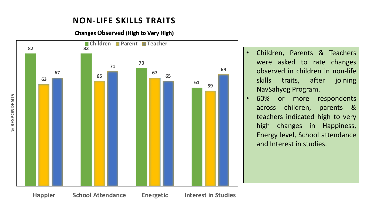## **NON-LIFE SKILLS TRAITS**

**Changes Observed (High to Very High)**



- Children, Parents & Teachers were asked to rate changes observed in children in non-life skills traits, after joining NavSahyog Program.
- 60% or more respondents across children, parents & teachers indicated high to very high changes in Happiness, Energy level, School attendance and Interest in studies.